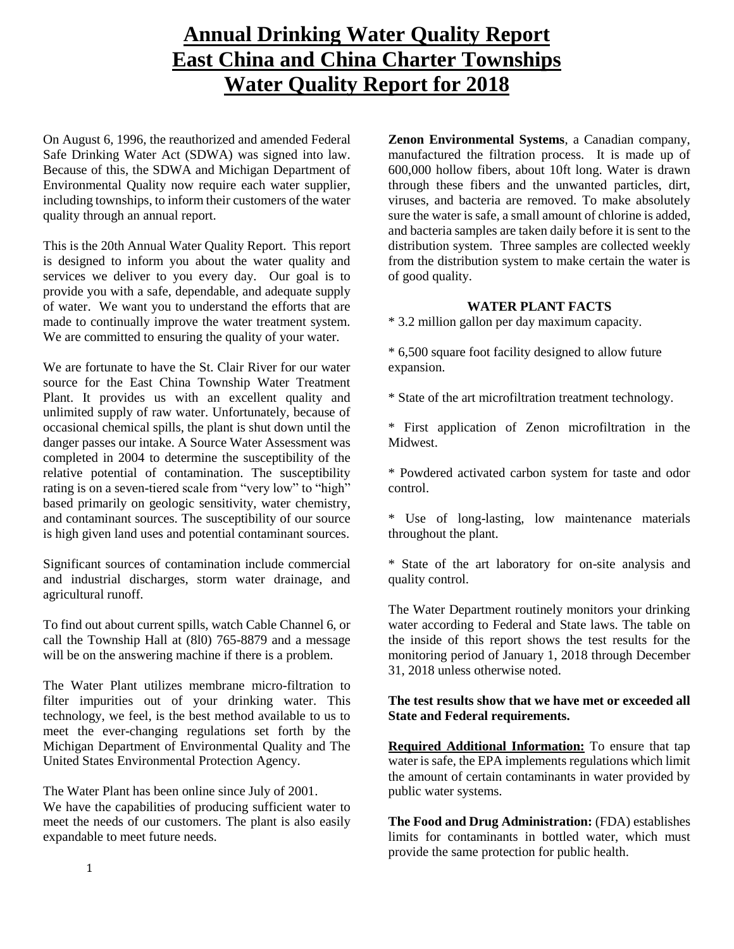# **Annual Drinking Water Quality Report East China and China Charter Townships Water Quality Report for 2018**

On August 6, 1996, the reauthorized and amended Federal Safe Drinking Water Act (SDWA) was signed into law. Because of this, the SDWA and Michigan Department of Environmental Quality now require each water supplier, including townships, to inform their customers of the water quality through an annual report.

This is the 20th Annual Water Quality Report. This report is designed to inform you about the water quality and services we deliver to you every day. Our goal is to provide you with a safe, dependable, and adequate supply of water. We want you to understand the efforts that are made to continually improve the water treatment system. We are committed to ensuring the quality of your water.

We are fortunate to have the St. Clair River for our water source for the East China Township Water Treatment Plant. It provides us with an excellent quality and unlimited supply of raw water. Unfortunately, because of occasional chemical spills, the plant is shut down until the danger passes our intake. A Source Water Assessment was completed in 2004 to determine the susceptibility of the relative potential of contamination. The susceptibility rating is on a seven-tiered scale from "very low" to "high" based primarily on geologic sensitivity, water chemistry, and contaminant sources. The susceptibility of our source is high given land uses and potential contaminant sources.

Significant sources of contamination include commercial and industrial discharges, storm water drainage, and agricultural runoff.

To find out about current spills, watch Cable Channel 6, or call the Township Hall at (8l0) 765-8879 and a message will be on the answering machine if there is a problem.

The Water Plant utilizes membrane micro-filtration to filter impurities out of your drinking water. This technology, we feel, is the best method available to us to meet the ever-changing regulations set forth by the Michigan Department of Environmental Quality and The United States Environmental Protection Agency.

The Water Plant has been online since July of 2001. We have the capabilities of producing sufficient water to meet the needs of our customers. The plant is also easily expandable to meet future needs.

**Zenon Environmental Systems**, a Canadian company, manufactured the filtration process. It is made up of 600,000 hollow fibers, about 10ft long. Water is drawn through these fibers and the unwanted particles, dirt, viruses, and bacteria are removed. To make absolutely sure the water is safe, a small amount of chlorine is added, and bacteria samples are taken daily before it is sent to the distribution system. Three samples are collected weekly from the distribution system to make certain the water is of good quality.

# **WATER PLANT FACTS**

\* 3.2 million gallon per day maximum capacity.

\* 6,500 square foot facility designed to allow future expansion.

\* State of the art microfiltration treatment technology.

\* First application of Zenon microfiltration in the Midwest.

\* Powdered activated carbon system for taste and odor control.

\* Use of long-lasting, low maintenance materials throughout the plant.

\* State of the art laboratory for on-site analysis and quality control.

The Water Department routinely monitors your drinking water according to Federal and State laws. The table on the inside of this report shows the test results for the monitoring period of January 1, 2018 through December 31, 2018 unless otherwise noted.

# **The test results show that we have met or exceeded all State and Federal requirements.**

**Required Additional Information:** To ensure that tap water is safe, the EPA implements regulations which limit the amount of certain contaminants in water provided by public water systems.

**The Food and Drug Administration:** (FDA) establishes limits for contaminants in bottled water, which must provide the same protection for public health.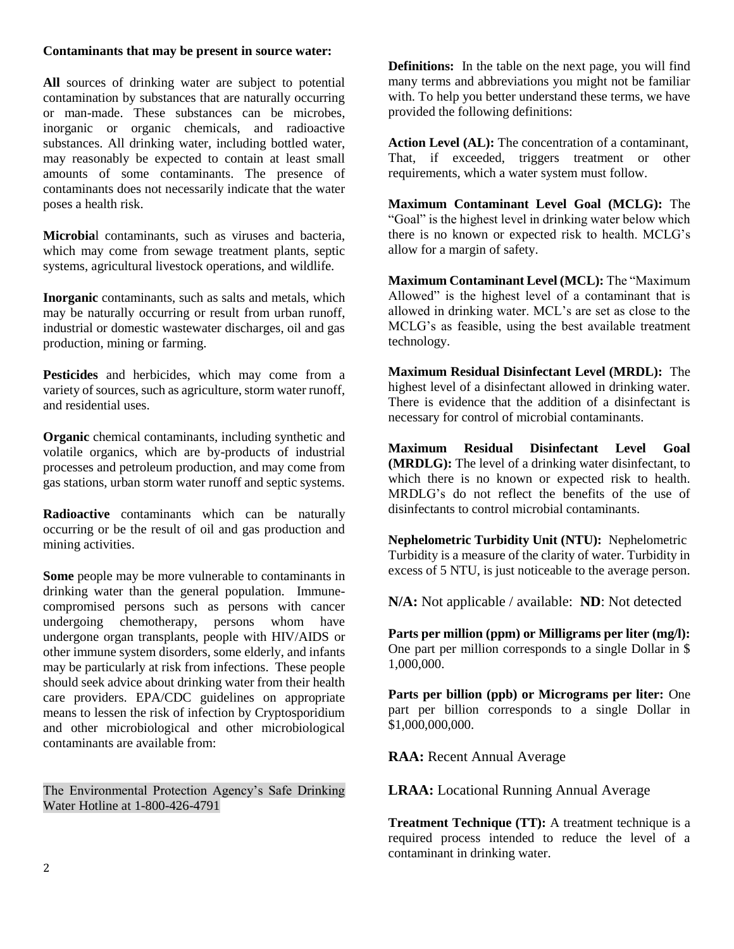## **Contaminants that may be present in source water:**

**All** sources of drinking water are subject to potential contamination by substances that are naturally occurring or man-made. These substances can be microbes, inorganic or organic chemicals, and radioactive substances. All drinking water, including bottled water, may reasonably be expected to contain at least small amounts of some contaminants. The presence of contaminants does not necessarily indicate that the water poses a health risk.

**Microbia**l contaminants, such as viruses and bacteria, which may come from sewage treatment plants, septic systems, agricultural livestock operations, and wildlife.

**Inorganic** contaminants, such as salts and metals, which may be naturally occurring or result from urban runoff, industrial or domestic wastewater discharges, oil and gas production, mining or farming.

**Pesticides** and herbicides, which may come from a variety of sources, such as agriculture, storm water runoff, and residential uses.

**Organic** chemical contaminants, including synthetic and volatile organics, which are by-products of industrial processes and petroleum production, and may come from gas stations, urban storm water runoff and septic systems.

**Radioactive** contaminants which can be naturally occurring or be the result of oil and gas production and mining activities.

**Some** people may be more vulnerable to contaminants in drinking water than the general population. Immunecompromised persons such as persons with cancer undergoing chemotherapy, persons whom have undergone organ transplants, people with HIV/AIDS or other immune system disorders, some elderly, and infants may be particularly at risk from infections. These people should seek advice about drinking water from their health care providers. EPA/CDC guidelines on appropriate means to lessen the risk of infection by Cryptosporidium and other microbiological and other microbiological contaminants are available from:

The Environmental Protection Agency's Safe Drinking Water Hotline at 1-800-426-4791

**Definitions:** In the table on the next page, you will find many terms and abbreviations you might not be familiar with. To help you better understand these terms, we have provided the following definitions:

**Action Level (AL):** The concentration of a contaminant, That, if exceeded, triggers treatment or other requirements, which a water system must follow.

**Maximum Contaminant Level Goal (MCLG):** The "Goal" is the highest level in drinking water below which there is no known or expected risk to health. MCLG's allow for a margin of safety.

**Maximum Contaminant Level (MCL):** The "Maximum Allowed" is the highest level of a contaminant that is allowed in drinking water. MCL's are set as close to the MCLG's as feasible, using the best available treatment technology.

**Maximum Residual Disinfectant Level (MRDL):** The highest level of a disinfectant allowed in drinking water. There is evidence that the addition of a disinfectant is necessary for control of microbial contaminants.

**Maximum Residual Disinfectant Level Goal (MRDLG):** The level of a drinking water disinfectant, to which there is no known or expected risk to health. MRDLG's do not reflect the benefits of the use of disinfectants to control microbial contaminants.

**Nephelometric Turbidity Unit (NTU):** Nephelometric Turbidity is a measure of the clarity of water. Turbidity in excess of 5 NTU, is just noticeable to the average person.

**N/A:** Not applicable / available: **ND**: Not detected

**Parts per million (ppm) or Milligrams per liter (mg/l):**  One part per million corresponds to a single Dollar in \$ 1,000,000.

**Parts per billion (ppb) or Micrograms per liter:** One part per billion corresponds to a single Dollar in \$1,000,000,000.

**RAA:** Recent Annual Average

**LRAA:** Locational Running Annual Average

**Treatment Technique (TT):** A treatment technique is a required process intended to reduce the level of a contaminant in drinking water.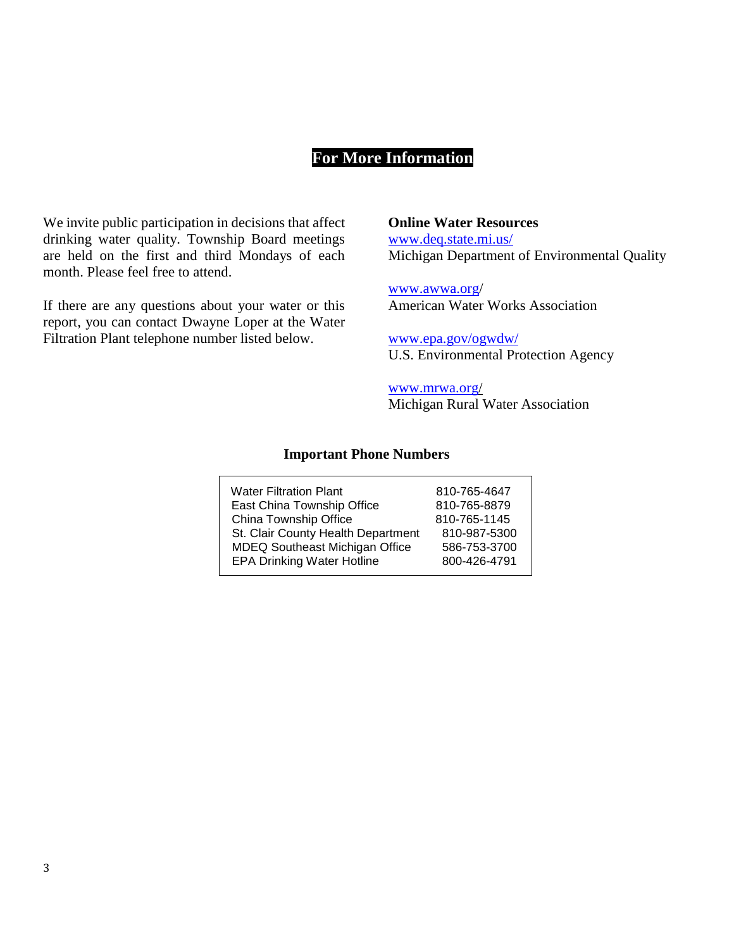# **For More Information**

We invite public participation in decisions that affect drinking water quality. Township Board meetings are held on the first and third Mondays of each month. Please feel free to attend.

If there are any questions about your water or this report, you can contact Dwayne Loper at the Water Filtration Plant telephone number listed below.

# **Online Water Resources**

[www.deq.state.mi.us/](http://www.deq.state.mi.us/) Michigan Department of Environmental Quality

[www.awwa.org/](http://www.awwa.org/) American Water Works Association

[www.epa.gov/ogwdw/](http://www.epa.gov/ogwdw/) U.S. Environmental Protection Agency

[www.mrwa.org/](http://www.mrwa.org/) Michigan Rural Water Association

## **Important Phone Numbers**

| 810-765-4647 |
|--------------|
| 810-765-8879 |
| 810-765-1145 |
| 810-987-5300 |
| 586-753-3700 |
| 800-426-4791 |
|              |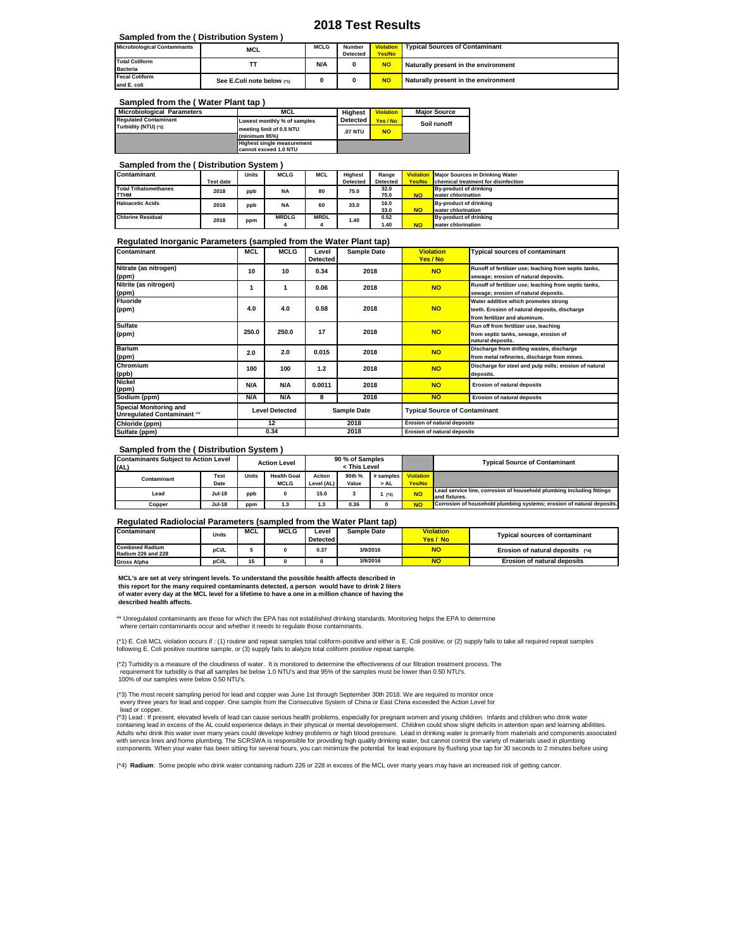### **2018 Test Results**

 **Sampled from the ( Distribution System )**

| <b>Microbiological Contaminants</b> | MCL                        | <b>MCLG</b> | Number          | <b>Violation</b> | Typical Sources of Contaminant       |
|-------------------------------------|----------------------------|-------------|-----------------|------------------|--------------------------------------|
|                                     |                            |             | <b>Detected</b> | Yes/No           |                                      |
| <b>Total Coliform</b>               |                            | N/A         |                 | <b>NO</b>        | Naturally present in the environment |
| <b>Bacteria</b>                     |                            |             |                 |                  |                                      |
| <b>Fecal Coliform</b>               | See E.Coli note below (*1) |             |                 | <b>NO</b>        | Naturally present in the environment |
| and E. coli                         |                            |             |                 |                  |                                      |

#### **Sampled from the ( Water Plant tap )**

| <b>Microbiological Parameters</b> | MCL                               | <b>Highest</b> | <b>Violation</b> | <b>Major Source</b> |  |
|-----------------------------------|-----------------------------------|----------------|------------------|---------------------|--|
| <b>Requiated Contaminant</b>      | Lowest monthly % of samples       | Detected       | Yes / No         | Soil runoff         |  |
| Turbidity (NTU) (*2)              | meeting limit of 0.5 NTU          | .07 NTU        | <b>NO</b>        |                     |  |
|                                   | (minimum 95%)                     |                |                  |                     |  |
|                                   | <b>Highest single measurement</b> |                |                  |                     |  |
|                                   | cannot exceed 1.0 NTU             |                |                  |                     |  |

#### **Sampled from the ( Distribution System )**

| Contaminant                  |                  | <b>Units</b> | <b>MCLG</b>  | <b>MCL</b>  | <b>Highest</b>  | Range           | Violation | Maior Sources in Drinking Water            |  |
|------------------------------|------------------|--------------|--------------|-------------|-----------------|-----------------|-----------|--------------------------------------------|--|
|                              | <b>Test date</b> |              |              |             | <b>Detected</b> | <b>Detected</b> | Yes/No    | <b>Chemical treatment for disinfection</b> |  |
| <b>Total Trihalomethanes</b> | 2018             | ppb          | <b>NA</b>    | 80          | 75.0            | 32.0            |           | <b>By-product of drinking</b>              |  |
| <b>TTHM</b>                  |                  |              |              |             |                 | 75.0            | <b>NO</b> | water chlorination                         |  |
| <b>Haloacetic Acids</b>      | 2018             | ppb          | <b>NA</b>    | 60          | 33.0            | 16.0            |           | <b>By-product of drinking</b>              |  |
|                              |                  |              |              |             |                 | 33.0            | <b>NO</b> | water chlorination                         |  |
| <b>Chlorine Residual</b>     | 2018             |              | <b>MRDLG</b> | <b>MRDL</b> | 1.40            | 0.52            |           | By-product of drinking                     |  |
|                              |                  | ppm          |              |             |                 | 1.40            | <b>NO</b> | water chlorination                         |  |

## **Regulated Inorganic Parameters (sampled from the Water Plant tap)**

| Contaminant                                                 | MCL   | <b>MCLG</b>           | Level<br><b>Detected</b> | Sample Date | <b>Violation</b><br>Yes / No         | <b>Typical sources of contaminant</b>                                                                                  |  |
|-------------------------------------------------------------|-------|-----------------------|--------------------------|-------------|--------------------------------------|------------------------------------------------------------------------------------------------------------------------|--|
| Nitrate (as nitrogen)<br>(ppm)                              | 10    | 10                    | 0.34                     | 2018        | <b>NO</b>                            | Runoff of fertilizer use; leaching from septic tanks,<br>sewage; erosion of natural deposits.                          |  |
| Nitrite (as nitrogen)<br>(ppm)                              |       |                       | 0.06                     | 2018        | <b>NO</b>                            | Runoff of fertilizer use; leaching from septic tanks,<br>sewage; erosion of natural deposits.                          |  |
| <b>Fluoride</b><br>(ppm)                                    | 4.0   | 4.0                   | 0.58                     | 2018        | <b>NO</b>                            | Water additive which promotes strong<br>teeth. Erosion of natural deposits, discharge<br>from fertilizer and aluminum. |  |
| <b>Sulfate</b><br>(ppm)                                     | 250.0 | 250.0                 | 17                       | 2018        | <b>NO</b>                            | Run off from fertilizer use, leaching<br>from septic tanks, sewage, erosion of<br>natural deposits.                    |  |
| <b>Barium</b><br>(ppm)                                      | 2.0   | 2.0                   | 0.015                    | 2018        | <b>NO</b>                            | Discharge from drilling wastes, discharge<br>from metal refineries, discharge from mines.                              |  |
| Chromium<br>(ppb)                                           | 100   | 100                   | 1.2                      | 2018        | <b>NO</b>                            | Discharge for steel and pulp mills; erosion of natural<br>deposits.                                                    |  |
| <b>Nickel</b><br>(ppm)                                      | N/A   | N/A                   | 0.0011                   | 2018        | <b>NO</b>                            | <b>Erosion of natural deposits</b>                                                                                     |  |
| Sodium (ppm)                                                | N/A   | N/A                   | 8                        | 2018        | <b>NO</b>                            | Erosion of natural deposits                                                                                            |  |
| Special Monitoring and<br><b>Unregulated Contaminant **</b> |       | <b>Level Detected</b> |                          | Sample Date | <b>Typical Source of Contaminant</b> |                                                                                                                        |  |
| Chloride (ppm)                                              |       | 12                    |                          | 2018        | <b>Erosion of natural deposits</b>   |                                                                                                                        |  |
| Sulfate (ppm)                                               |       | 0.34                  |                          | 2018        | <b>Erosion of natural deposits</b>   |                                                                                                                        |  |

#### **Sampled from the ( Distribution System )**

| (AL)        | <b>Contaminants Subiect to Action Level</b><br><b>Action Level</b> |              |                                   | 90 % of Samples<br>< This Level |                 |                   |                            | <b>Typical Source of Contaminant</b>                                                   |
|-------------|--------------------------------------------------------------------|--------------|-----------------------------------|---------------------------------|-----------------|-------------------|----------------------------|----------------------------------------------------------------------------------------|
| Contaminant | Test<br>Date                                                       | <b>Units</b> | <b>Health Goal</b><br><b>MCLG</b> | Action<br>Level (AL)            | 90th %<br>Value | # samples<br>> AL | <b>Violation</b><br>Yes/No |                                                                                        |
| Lead        | <b>Jul-18</b>                                                      | ppb          |                                   | 15.0                            |                 | $(*3)$            | <b>NO</b>                  | Lead service line, corrosion of household plumbing including fittings<br>and fixtures. |
| Copper      | <b>Jul-18</b>                                                      | ppm          | 1.3                               | 1.3                             | 0.36            |                   | <b>NO</b>                  | Corrosion of household plumbing systems; erosion of natural deposits.                  |

#### **Regulated Radiolocial Parameters (sampled from the Water Plant tap)**

| Contaminant                                  | Units | MCL | <b>MCLG</b> | ∟evel<br><b>Detected</b> | <b>Sample Date</b> | <b>Violation</b><br>Yes / No | <b>Typical sources of contaminant</b> |
|----------------------------------------------|-------|-----|-------------|--------------------------|--------------------|------------------------------|---------------------------------------|
| <b>Combined Radium</b><br>Radium 226 and 228 | pCi/L |     |             | 0.37                     | 3/9/2016           | <b>NO</b>                    | Erosion of natural deposits (*4)      |
| <b>Gross Alpha</b>                           | pCi/L | 15  |             |                          | 3/9/2016           |                              | <b>Erosion of natural deposits</b>    |

 **MCL's are set at very stringent levels. To understand the possible health affects described in this report for the many required contaminants detected, a person would have to drink 2 liters of water every day at the MCL level for a lifetime to have a one in a million chance of having the described health affects.**

\*\* Unregulated contaminants are those for which the EPA has not established drinking standards. Monitoring helps the EPA to determine where certain contaminants occur and whether it needs to regulate those contaminants

(\*1) E. Coli MCL violation occurs if : (1) routine and repeat samples total coliform-positive and either is E. Coli positive, or (2) supply fails to take all required repeat samples following E. Coli positive rountine sample, or (3) supply fails to alalyze total coliform positive repeat sample.

(\*2) Turbidity is a measure of the cloudiness of water. It is monitored to determine the effectiveness of our filtration treatment process. The requirement for turbidity is that all samples be below 1.0 NTU's and that 95% of the samples must be lower than 0.50 NTU's. 100% of our samples were below 0.50 NTU's.

(\*3) The most recent sampling period for lead and copper was June 1st through September 30th 2018. We are required to monitor once every three years for lead and copper. One sample from the Consecutive System of China or East China exceeded the Action Level for lead or copper.

(\*3) Lead : If present, elevated levels of lead can cause serious health problems, especially for pregnant women and young children. Infants and children who drink water containing lead in excess of the AL could experience delays in their physical or mental developement. Children could show slight deficits in attention span and learning abilitites. Adults who drink this water over many years could develope kidney problems or high blood pressure. Lead in drinking water is primarily from materials and components associated<br>with service lines and home plumbing. The SCR

(\*4) **Radium**: Some people who drink water containing radium 226 or 228 in excess of the MCL over many years may have an increased risk of getting cancer.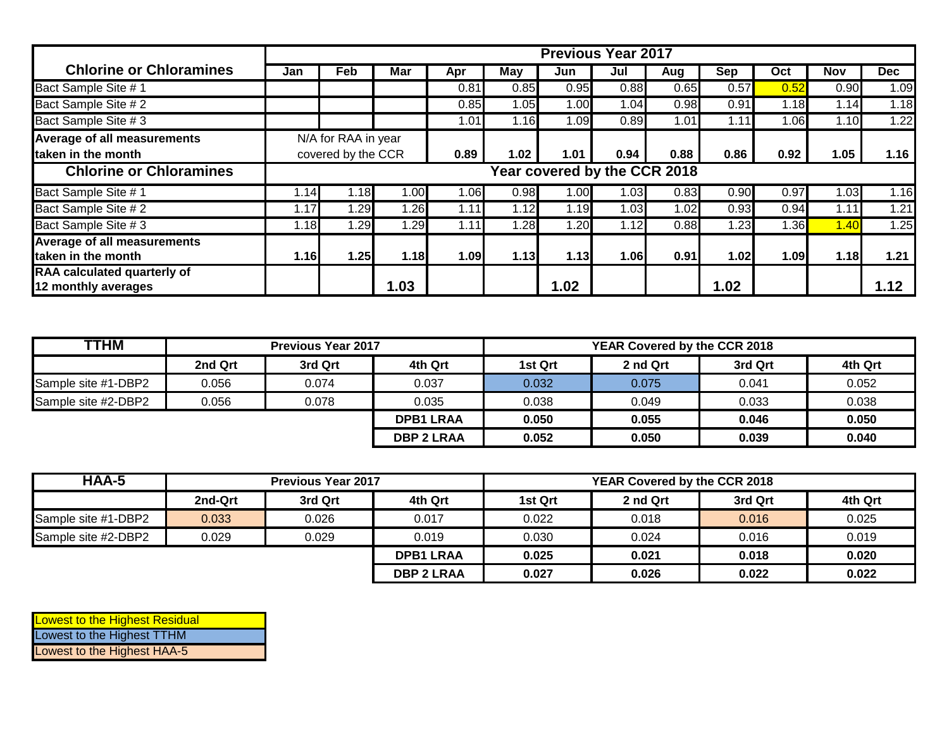|                                                          |      |                                           |      |      |               |                  | <b>Previous Year 2017</b> |      |      |      |            |            |
|----------------------------------------------------------|------|-------------------------------------------|------|------|---------------|------------------|---------------------------|------|------|------|------------|------------|
| <b>Chlorine or Chloramines</b>                           | Jan  | Feb                                       | Mar  | Apr  | May           | Jun              | Jul                       | Aug  | Sep  | Oct  | <b>Nov</b> | <b>Dec</b> |
| Bact Sample Site # 1                                     |      |                                           |      | 0.81 | 0.85          | 0.95             | 0.88                      | 0.65 | 0.57 | 0.52 | 0.90       | 1.09       |
| Bact Sample Site # 2                                     |      |                                           |      | 0.85 | 1.05          | .00 <sub>l</sub> | 1.04                      | 0.98 | 0.91 | 1.18 | 1.14       | 1.18       |
| Bact Sample Site # 3                                     |      |                                           |      | 1.01 | 1.16 <b>I</b> | 1.09             | 0.89                      | 1.01 | 1.11 | 1.06 | 1.10       | 1.22       |
| <b>Average of all measurements</b><br>taken in the month |      | N/A for RAA in year<br>covered by the CCR |      |      | 1.02          | 1.01             | 0.94                      | 0.88 | 0.86 | 0.92 | 1.05       | 1.16       |
| <b>Chlorine or Chloramines</b>                           |      | Year covered by the CCR 2018              |      |      |               |                  |                           |      |      |      |            |            |
| Bact Sample Site # 1                                     | 1.14 | .18                                       | 1.00 | 1.06 | 0.98          | 1.00             | 1.03                      | 0.83 | 0.90 | 0.97 | 1.03       | 1.16       |
| Bact Sample Site # 2                                     | 1.17 | .29                                       | .26  | 1.11 | 1.12          | 1.19             | 1.03                      | 1.02 | 0.93 | 0.94 | 1.11       | 1.21       |
| Bact Sample Site # 3                                     | 1.18 | .29                                       | .29  | 1.11 | .28           | .20              | 1.12                      | 0.88 | 1.23 | 1.36 | 1.40       | 1.25       |
| <b>Average of all measurements</b><br>taken in the month | 1.16 | 1.25                                      | 1.18 | 1.09 | 1.13          | 1.13             | 1.06                      | 0.91 | 1.02 | 1.09 | 1.18       | 1.21       |
| RAA calculated quarterly of<br>12 monthly averages       |      |                                           | 1.03 |      |               | 1.02             |                           |      | 1.02 |      |            | 1.12       |

| <b>TTHM</b>         |         | <b>Previous Year 2017</b> |                   | YEAR Covered by the CCR 2018 |          |         |         |  |
|---------------------|---------|---------------------------|-------------------|------------------------------|----------|---------|---------|--|
|                     | 2nd Qrt | 3rd Qrt                   | 4th Qrt           | 1st Qrt                      | 2 nd Qrt | 3rd Qrt | 4th Qrt |  |
| Sample site #1-DBP2 | 0.056   | 0.074                     | 0.037             | 0.032                        | 0.075    | 0.041   | 0.052   |  |
| Sample site #2-DBP2 | 0.056   | 0.078                     | 0.035             | 0.038                        | 0.049    | 0.033   | 0.038   |  |
|                     |         |                           | <b>DPB1 LRAA</b>  | 0.050                        | 0.055    | 0.046   | 0.050   |  |
|                     |         |                           | <b>DBP 2 LRAA</b> | 0.052                        | 0.050    | 0.039   | 0.040   |  |

| HAA-5               |         | <b>Previous Year 2017</b> |                  | YEAR Covered by the CCR 2018 |          |         |         |  |  |
|---------------------|---------|---------------------------|------------------|------------------------------|----------|---------|---------|--|--|
|                     | 2nd-Qrt | 3rd Qrt                   | 4th Qrt          | 1st Qrt                      | 2 nd Qrt | 3rd Qrt | 4th Qrt |  |  |
| Sample site #1-DBP2 | 0.033   | 0.026                     | 0.017            | 0.022                        | 0.018    | 0.016   | 0.025   |  |  |
| Sample site #2-DBP2 | 0.029   | 0.029                     | 0.019            | 0.030                        | 0.024    | 0.016   | 0.019   |  |  |
|                     |         |                           | <b>DPB1 LRAA</b> | 0.025                        | 0.021    | 0.018   | 0.020   |  |  |
|                     |         |                           |                  | 0.027                        | 0.026    | 0.022   | 0.022   |  |  |

| <b>Lowest to the Highest Residual</b> |  |
|---------------------------------------|--|
| Lowest to the Highest TTHM            |  |
| Lowest to the Highest HAA-5           |  |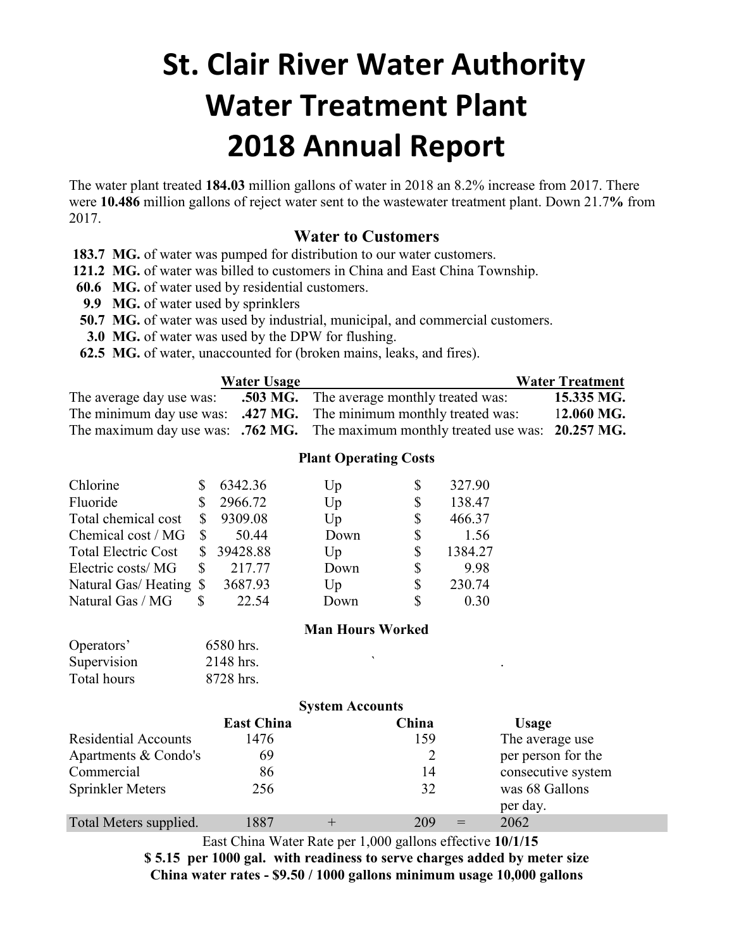# **St. Clair River Water Authority Water Treatment Plant 2018 Annual Report**

The water plant treated **184.03** million gallons of water in 2018 an 8.2% increase from 2017. There were **10.486** million gallons of reject water sent to the wastewater treatment plant. Down 21.7**%** from 2017.

# **Water to Customers**

**183.7 MG.** of water was pumped for distribution to our water customers.

**121.2 MG.** of water was billed to customers in China and East China Township.

- **60.6 MG.** of water used by residential customers.
- **9.9 MG.** of water used by sprinklers
- **50.7 MG.** of water was used by industrial, municipal, and commercial customers.
- **3.0 MG.** of water was used by the DPW for flushing.
- **62.5 MG.** of water, unaccounted for (broken mains, leaks, and fires).

|                          | <b>Water Usage</b> |                                                                                              | <b>Water Treatment</b> |
|--------------------------|--------------------|----------------------------------------------------------------------------------------------|------------------------|
| The average day use was: |                    | <b>.503 MG.</b> The average monthly treated was:                                             | 15.335 MG.             |
|                          |                    | The minimum day use was: $.427 \text{ MG}$ . The minimum monthly treated was:                | 12.060 MG.             |
|                          |                    | The maximum day use was: $.762 \text{ MG}$ . The maximum monthly treated use was: 20.257 MG. |                        |

# **Plant Operating Costs**

| Chlorine                   | 6342.36  | Up      | S  | 327.90  |
|----------------------------|----------|---------|----|---------|
| Fluoride                   | 2966.72  | Up      | \$ | 138.47  |
| Total chemical cost        | 9309.08  | $U_{p}$ | \$ | 466.37  |
| Chemical cost / MG         | 50.44    | Down    | \$ | 1.56    |
| <b>Total Electric Cost</b> | 39428.88 | Up      | S  | 1384.27 |
| Electric costs/MG          | 217.77   | Down    | \$ | 9.98    |
| Natural Gas/ Heating \$    | 3687.93  | Up      | \$ | 230.74  |
| Natural Gas / MG           | 22.54    | Down    | S  | 0.30    |

# **Man Hours Worked**

| Operators'  | 6580 hrs. |  |
|-------------|-----------|--|
| Supervision | 2148 hrs. |  |
| Total hours | 8728 hrs. |  |

|                             |                   | <b>System Accounts</b> |       |     |                            |
|-----------------------------|-------------------|------------------------|-------|-----|----------------------------|
|                             | <b>East China</b> |                        | China |     | <b>Usage</b>               |
| <b>Residential Accounts</b> | 1476              |                        | 159   |     | The average use            |
| Apartments & Condo's        | 69                |                        |       |     | per person for the         |
| Commercial                  | 86                |                        | 14    |     | consecutive system         |
| Sprinkler Meters            | 256               |                        | 32    |     | was 68 Gallons<br>per day. |
| Total Meters supplied.      | 1887              |                        | 209   | $=$ | 2062                       |

East China Water Rate per 1,000 gallons effective **10/1/15**

**\$ 5.15 per 1000 gal. with readiness to serve charges added by meter size China water rates - \$9.50 / 1000 gallons minimum usage 10,000 gallons**